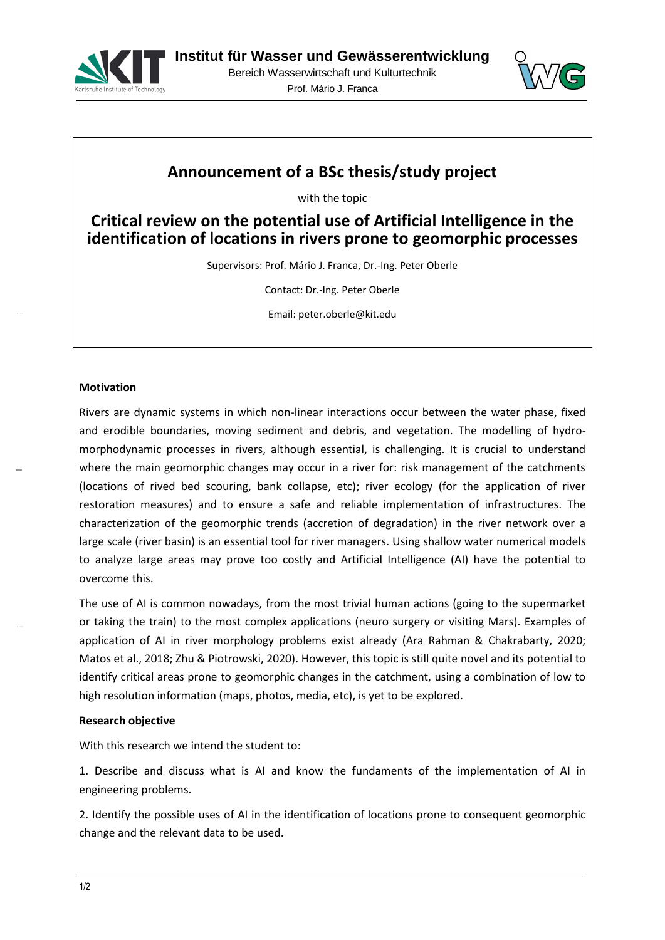



# **Announcement of a BSc thesis/study project**

with the topic

**Critical review on the potential use of Artificial Intelligence in the identification of locations in rivers prone to geomorphic processes**

Supervisors: Prof. Mário J. Franca, Dr.-Ing. Peter Oberle

Contact: Dr.-Ing. Peter Oberle

Email: peter.oberle@kit.edu

#### **Motivation**

Rivers are dynamic systems in which non-linear interactions occur between the water phase, fixed and erodible boundaries, moving sediment and debris, and vegetation. The modelling of hydromorphodynamic processes in rivers, although essential, is challenging. It is crucial to understand where the main geomorphic changes may occur in a river for: risk management of the catchments (locations of rived bed scouring, bank collapse, etc); river ecology (for the application of river restoration measures) and to ensure a safe and reliable implementation of infrastructures. The characterization of the geomorphic trends (accretion of degradation) in the river network over a large scale (river basin) is an essential tool for river managers. Using shallow water numerical models to analyze large areas may prove too costly and Artificial Intelligence (AI) have the potential to overcome this.

The use of AI is common nowadays, from the most trivial human actions (going to the supermarket or taking the train) to the most complex applications (neuro surgery or visiting Mars). Examples of application of AI in river morphology problems exist already (Ara Rahman & Chakrabarty, 2020; Matos et al., 2018; Zhu & Piotrowski, 2020). However, this topic is still quite novel and its potential to identify critical areas prone to geomorphic changes in the catchment, using a combination of low to high resolution information (maps, photos, media, etc), is yet to be explored.

### **Research objective**

With this research we intend the student to:

1. Describe and discuss what is AI and know the fundaments of the implementation of AI in engineering problems.

2. Identify the possible uses of AI in the identification of locations prone to consequent geomorphic change and the relevant data to be used.